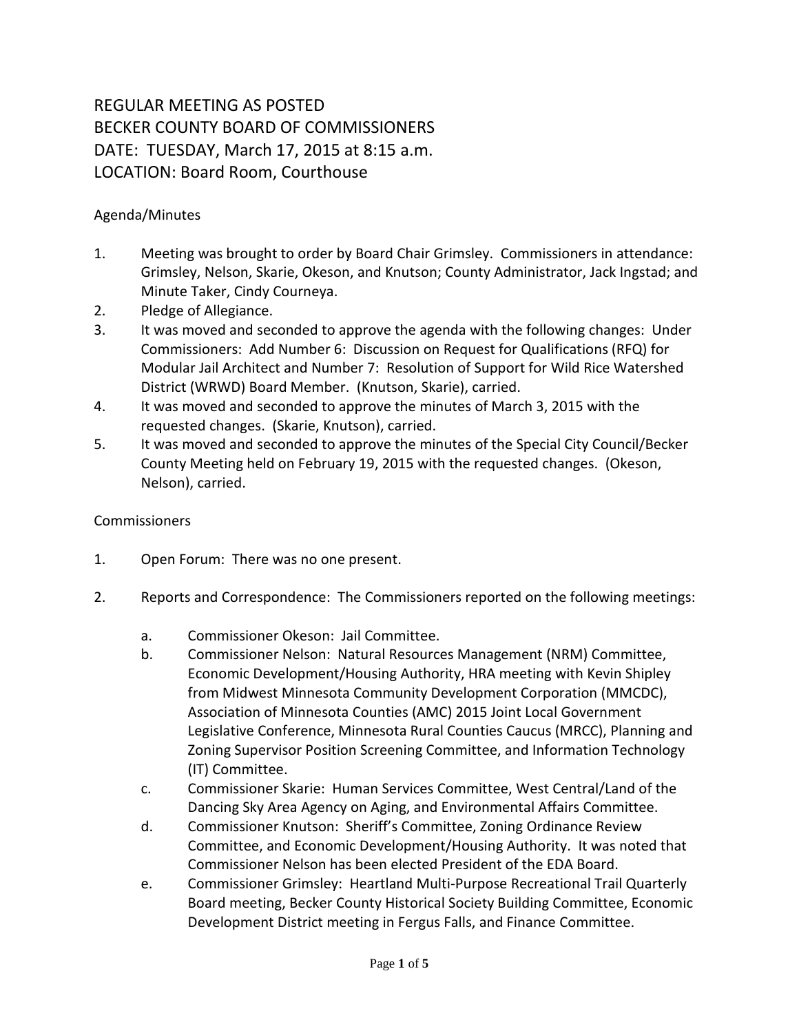## REGULAR MEETING AS POSTED BECKER COUNTY BOARD OF COMMISSIONERS DATE: TUESDAY, March 17, 2015 at 8:15 a.m. LOCATION: Board Room, Courthouse

## Agenda/Minutes

- 1. Meeting was brought to order by Board Chair Grimsley. Commissioners in attendance: Grimsley, Nelson, Skarie, Okeson, and Knutson; County Administrator, Jack Ingstad; and Minute Taker, Cindy Courneya.
- 2. Pledge of Allegiance.
- 3. It was moved and seconded to approve the agenda with the following changes: Under Commissioners: Add Number 6: Discussion on Request for Qualifications (RFQ) for Modular Jail Architect and Number 7: Resolution of Support for Wild Rice Watershed District (WRWD) Board Member. (Knutson, Skarie), carried.
- 4. It was moved and seconded to approve the minutes of March 3, 2015 with the requested changes. (Skarie, Knutson), carried.
- 5. It was moved and seconded to approve the minutes of the Special City Council/Becker County Meeting held on February 19, 2015 with the requested changes. (Okeson, Nelson), carried.

## **Commissioners**

- 1. Open Forum: There was no one present.
- 2. Reports and Correspondence: The Commissioners reported on the following meetings:
	- a. Commissioner Okeson: Jail Committee.
	- b. Commissioner Nelson: Natural Resources Management (NRM) Committee, Economic Development/Housing Authority, HRA meeting with Kevin Shipley from Midwest Minnesota Community Development Corporation (MMCDC), Association of Minnesota Counties (AMC) 2015 Joint Local Government Legislative Conference, Minnesota Rural Counties Caucus (MRCC), Planning and Zoning Supervisor Position Screening Committee, and Information Technology (IT) Committee.
	- c. Commissioner Skarie: Human Services Committee, West Central/Land of the Dancing Sky Area Agency on Aging, and Environmental Affairs Committee.
	- d. Commissioner Knutson: Sheriff's Committee, Zoning Ordinance Review Committee, and Economic Development/Housing Authority. It was noted that Commissioner Nelson has been elected President of the EDA Board.
	- e. Commissioner Grimsley: Heartland Multi-Purpose Recreational Trail Quarterly Board meeting, Becker County Historical Society Building Committee, Economic Development District meeting in Fergus Falls, and Finance Committee.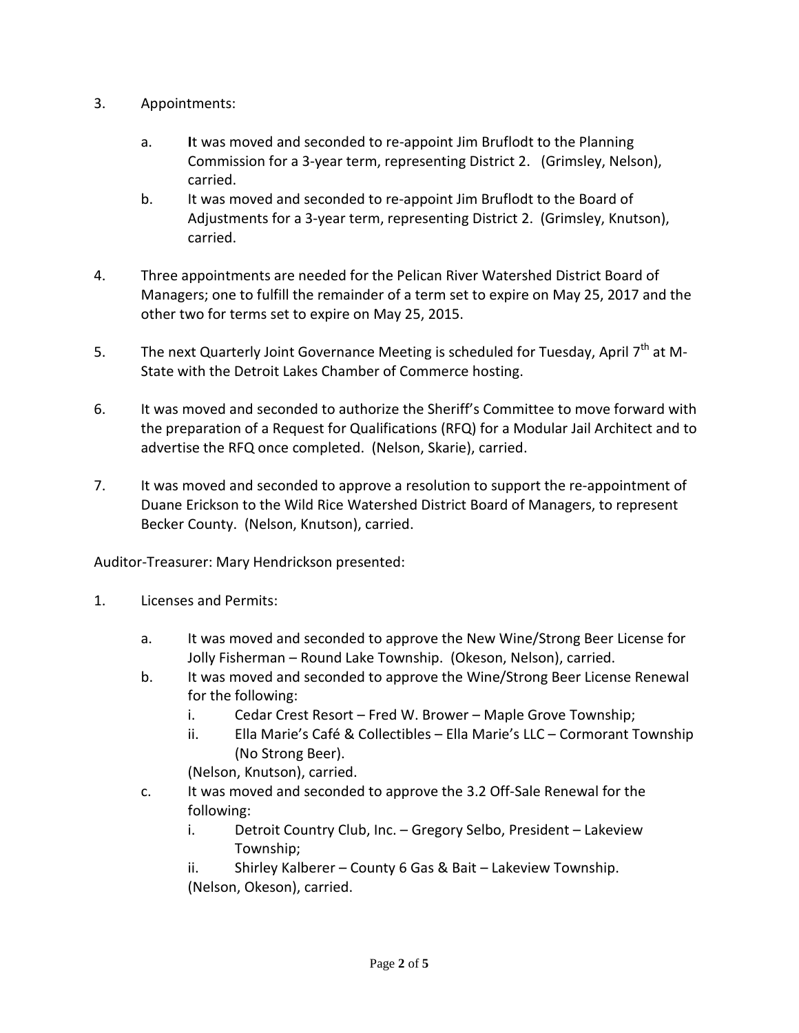- 3. Appointments:
	- a. **I**t was moved and seconded to re-appoint Jim Bruflodt to the Planning Commission for a 3-year term, representing District 2. (Grimsley, Nelson), carried.
	- b. It was moved and seconded to re-appoint Jim Bruflodt to the Board of Adjustments for a 3-year term, representing District 2. (Grimsley, Knutson), carried.
- 4. Three appointments are needed for the Pelican River Watershed District Board of Managers; one to fulfill the remainder of a term set to expire on May 25, 2017 and the other two for terms set to expire on May 25, 2015.
- 5. The next Quarterly Joint Governance Meeting is scheduled for Tuesday, April  $7<sup>th</sup>$  at M-State with the Detroit Lakes Chamber of Commerce hosting.
- 6. It was moved and seconded to authorize the Sheriff's Committee to move forward with the preparation of a Request for Qualifications (RFQ) for a Modular Jail Architect and to advertise the RFQ once completed. (Nelson, Skarie), carried.
- 7. It was moved and seconded to approve a resolution to support the re-appointment of Duane Erickson to the Wild Rice Watershed District Board of Managers, to represent Becker County. (Nelson, Knutson), carried.

Auditor-Treasurer: Mary Hendrickson presented:

- 1. Licenses and Permits:
	- a. It was moved and seconded to approve the New Wine/Strong Beer License for Jolly Fisherman – Round Lake Township. (Okeson, Nelson), carried.
	- b. It was moved and seconded to approve the Wine/Strong Beer License Renewal for the following:
		- i. Cedar Crest Resort Fred W. Brower Maple Grove Township;
		- ii. Ella Marie's Café & Collectibles Ella Marie's LLC Cormorant Township (No Strong Beer).

(Nelson, Knutson), carried.

- c. It was moved and seconded to approve the 3.2 Off-Sale Renewal for the following:
	- i. Detroit Country Club, Inc. Gregory Selbo, President Lakeview Township;

ii. Shirley Kalberer – County 6 Gas & Bait – Lakeview Township. (Nelson, Okeson), carried.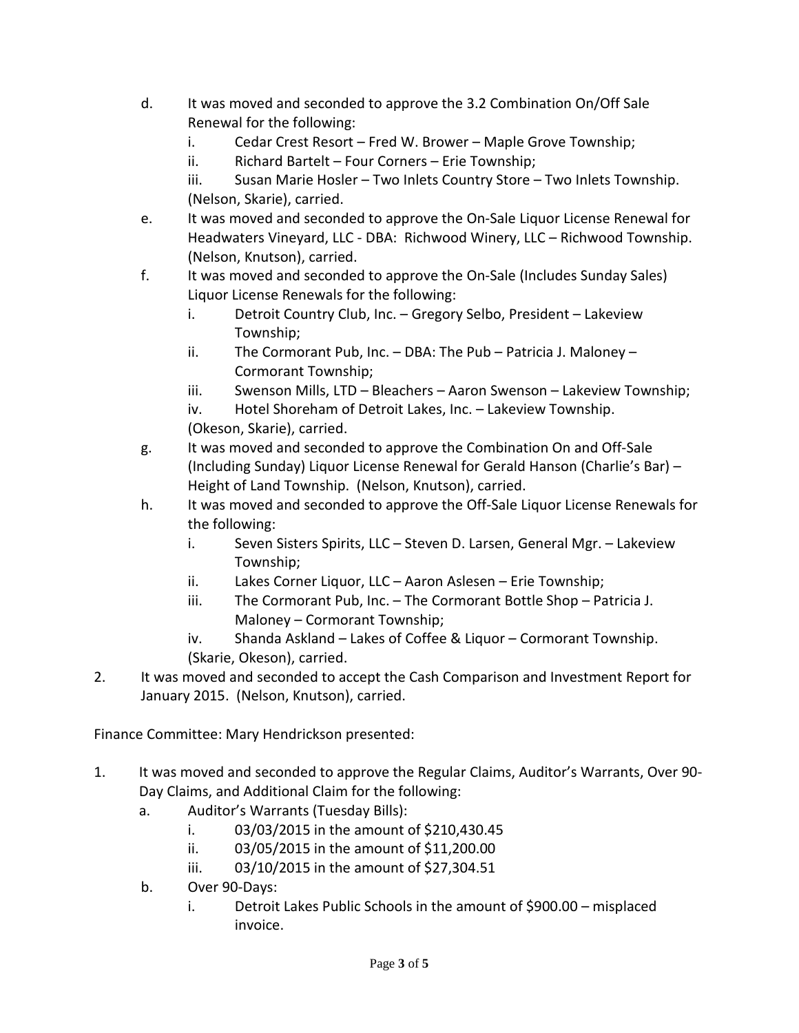- d. It was moved and seconded to approve the 3.2 Combination On/Off Sale Renewal for the following:
	- i. Cedar Crest Resort Fred W. Brower Maple Grove Township;
	- ii. Richard Bartelt Four Corners Erie Township;
	- iii. Susan Marie Hosler Two Inlets Country Store Two Inlets Township. (Nelson, Skarie), carried.
- e. It was moved and seconded to approve the On-Sale Liquor License Renewal for Headwaters Vineyard, LLC - DBA: Richwood Winery, LLC – Richwood Township. (Nelson, Knutson), carried.
- f. It was moved and seconded to approve the On-Sale (Includes Sunday Sales) Liquor License Renewals for the following:
	- i. Detroit Country Club, Inc. Gregory Selbo, President Lakeview Township;
	- ii. The Cormorant Pub, Inc. DBA: The Pub Patricia J. Maloney Cormorant Township;
	- iii. Swenson Mills, LTD Bleachers Aaron Swenson Lakeview Township;
	- iv. Hotel Shoreham of Detroit Lakes, Inc. Lakeview Township. (Okeson, Skarie), carried.
- g. It was moved and seconded to approve the Combination On and Off-Sale (Including Sunday) Liquor License Renewal for Gerald Hanson (Charlie's Bar) – Height of Land Township. (Nelson, Knutson), carried.
- h. It was moved and seconded to approve the Off-Sale Liquor License Renewals for the following:
	- i. Seven Sisters Spirits, LLC Steven D. Larsen, General Mgr. Lakeview Township;
	- ii. Lakes Corner Liquor, LLC Aaron Aslesen Erie Township;
	- iii. The Cormorant Pub, Inc. The Cormorant Bottle Shop Patricia J. Maloney – Cormorant Township;
	- iv. Shanda Askland Lakes of Coffee & Liquor Cormorant Township. (Skarie, Okeson), carried.
- 2. It was moved and seconded to accept the Cash Comparison and Investment Report for January 2015. (Nelson, Knutson), carried.

Finance Committee: Mary Hendrickson presented:

- 1. It was moved and seconded to approve the Regular Claims, Auditor's Warrants, Over 90- Day Claims, and Additional Claim for the following:
	- a. Auditor's Warrants (Tuesday Bills):
		- i. 03/03/2015 in the amount of \$210,430.45
		- ii. 03/05/2015 in the amount of \$11,200.00
		- iii. 03/10/2015 in the amount of \$27,304.51
	- b. Over 90-Days:
		- i. Detroit Lakes Public Schools in the amount of \$900.00 misplaced invoice.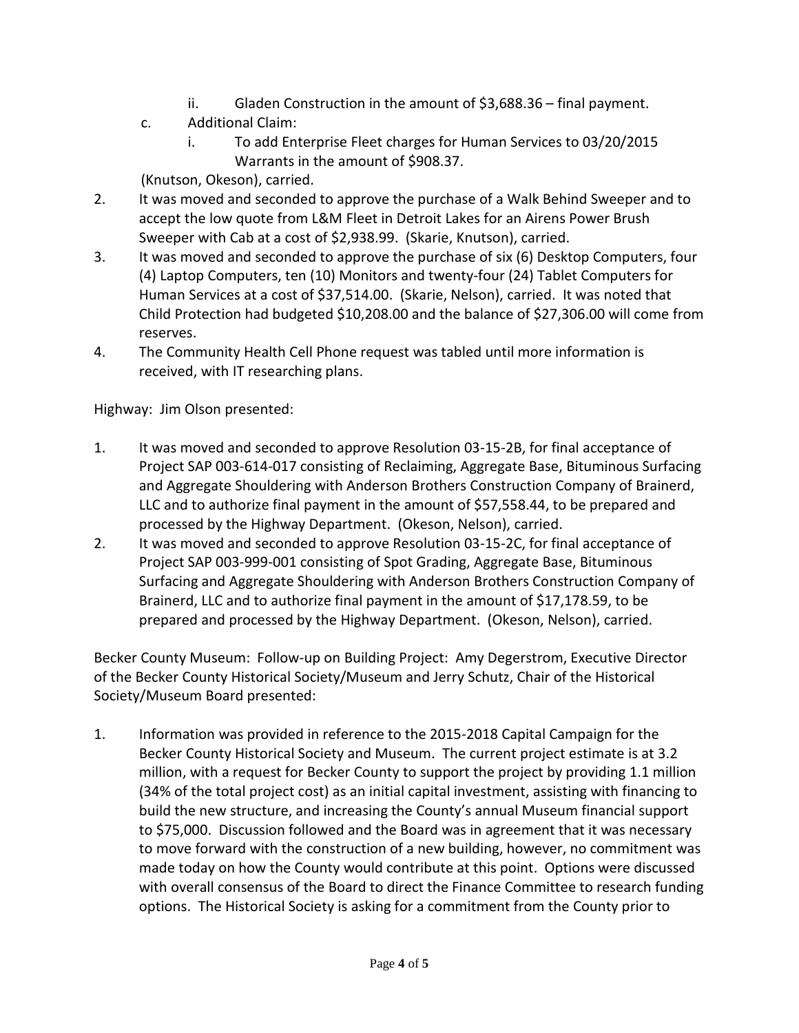- ii. Gladen Construction in the amount of \$3,688.36 final payment.
- c. Additional Claim:
	- i. To add Enterprise Fleet charges for Human Services to 03/20/2015 Warrants in the amount of \$908.37.

(Knutson, Okeson), carried.

- 2. It was moved and seconded to approve the purchase of a Walk Behind Sweeper and to accept the low quote from L&M Fleet in Detroit Lakes for an Airens Power Brush Sweeper with Cab at a cost of \$2,938.99. (Skarie, Knutson), carried.
- 3. It was moved and seconded to approve the purchase of six (6) Desktop Computers, four (4) Laptop Computers, ten (10) Monitors and twenty-four (24) Tablet Computers for Human Services at a cost of \$37,514.00. (Skarie, Nelson), carried. It was noted that Child Protection had budgeted \$10,208.00 and the balance of \$27,306.00 will come from reserves.
- 4. The Community Health Cell Phone request was tabled until more information is received, with IT researching plans.

Highway: Jim Olson presented:

- 1. It was moved and seconded to approve Resolution 03-15-2B, for final acceptance of Project SAP 003-614-017 consisting of Reclaiming, Aggregate Base, Bituminous Surfacing and Aggregate Shouldering with Anderson Brothers Construction Company of Brainerd, LLC and to authorize final payment in the amount of \$57,558.44, to be prepared and processed by the Highway Department. (Okeson, Nelson), carried.
- 2. It was moved and seconded to approve Resolution 03-15-2C, for final acceptance of Project SAP 003-999-001 consisting of Spot Grading, Aggregate Base, Bituminous Surfacing and Aggregate Shouldering with Anderson Brothers Construction Company of Brainerd, LLC and to authorize final payment in the amount of \$17,178.59, to be prepared and processed by the Highway Department. (Okeson, Nelson), carried.

Becker County Museum: Follow-up on Building Project: Amy Degerstrom, Executive Director of the Becker County Historical Society/Museum and Jerry Schutz, Chair of the Historical Society/Museum Board presented:

1. Information was provided in reference to the 2015-2018 Capital Campaign for the Becker County Historical Society and Museum. The current project estimate is at 3.2 million, with a request for Becker County to support the project by providing 1.1 million (34% of the total project cost) as an initial capital investment, assisting with financing to build the new structure, and increasing the County's annual Museum financial support to \$75,000. Discussion followed and the Board was in agreement that it was necessary to move forward with the construction of a new building, however, no commitment was made today on how the County would contribute at this point. Options were discussed with overall consensus of the Board to direct the Finance Committee to research funding options. The Historical Society is asking for a commitment from the County prior to